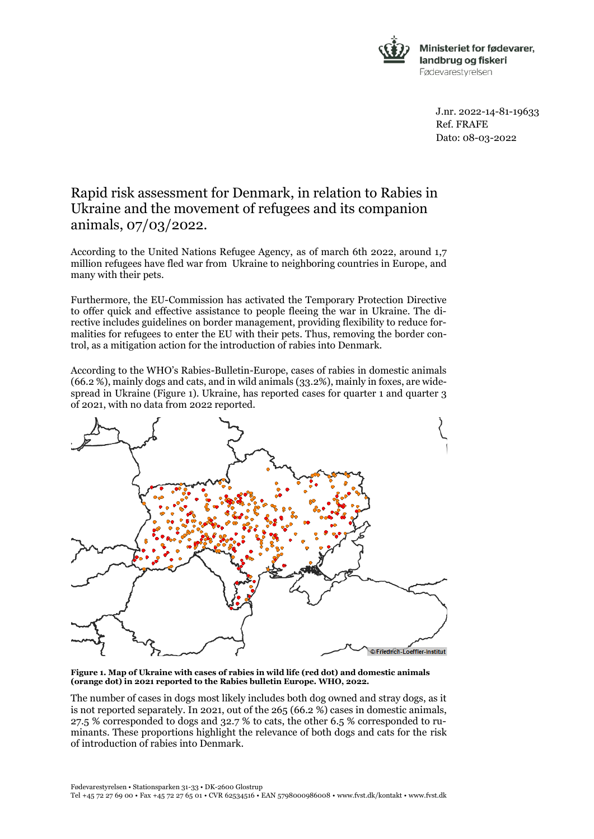

J.nr. 2022-14-81-19633 Ref. FRAFE Dato: 08-03-2022

## Rapid risk assessment for Denmark, in relation to Rabies in Ukraine and the movement of refugees and its companion animals, 07/03/2022.

According to the United Nations Refugee Agency, as of march 6th 2022, around 1,7 million refugees have fled war from Ukraine to neighboring countries in Europe, and many with their pets.

Furthermore, the EU-Commission has activated the Temporary Protection Directive to offer quick and effective assistance to people fleeing the war in Ukraine. The directive includes guidelines on border management, providing flexibility to reduce formalities for refugees to enter the EU with their pets. Thus, removing the border control, as a mitigation action for the introduction of rabies into Denmark.

According to the WHO's Rabies-Bulletin-Europe, cases of rabies in domestic animals (66.2 %), mainly dogs and cats, and in wild animals (33.2%), mainly in foxes, are widespread in Ukraine (Figure 1). Ukraine, has reported cases for quarter 1 and quarter 3 of 2021, with no data from 2022 reported.



**Figure 1. Map of Ukraine with cases of rabies in wild life (red dot) and domestic animals (orange dot) in 2021 reported to the Rabies bulletin Europe. WHO, 2022.**

The number of cases in dogs most likely includes both dog owned and stray dogs, as it is not reported separately. In 2021, out of the 265 (66.2 %) cases in domestic animals, 27.5 % corresponded to dogs and 32.7 % to cats, the other 6.5 % corresponded to ruminants. These proportions highlight the relevance of both dogs and cats for the risk of introduction of rabies into Denmark.